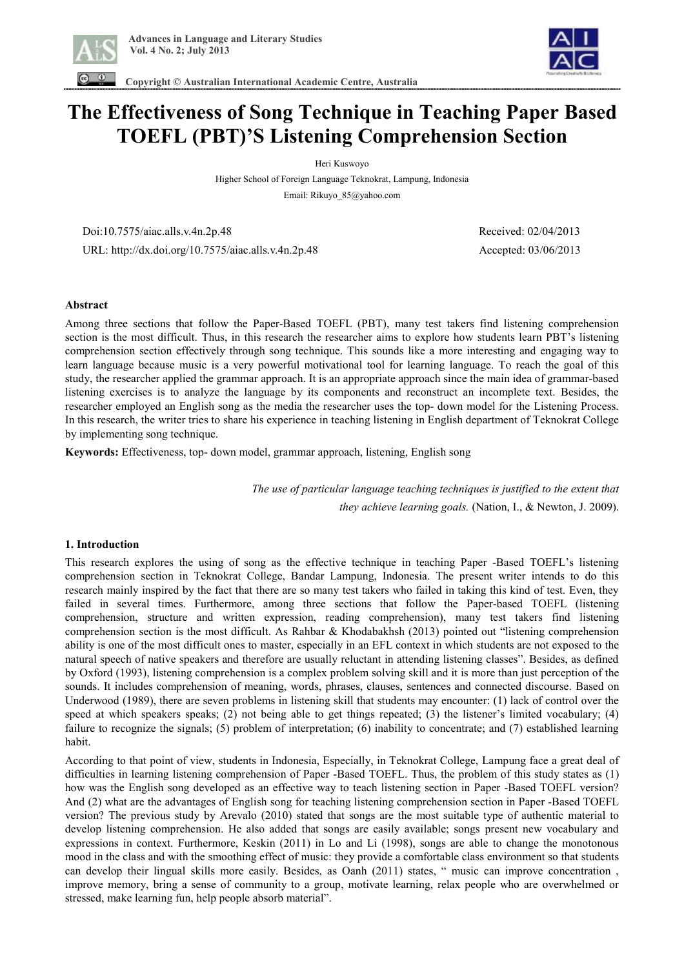

 **Copyright © Australian International Academic Centre, Australia** 



# **The Effectiveness of Song Technique in Teaching Paper Based TOEFL (PBT)'S Listening Comprehension Section**

Heri Kuswoyo

Higher School of Foreign Language Teknokrat, Lampung, Indonesia Email: Rikuyo\_85@yahoo.com

 Doi:10.7575/aiac.alls.v.4n.2p.48 Received: 02/04/2013 URL: http://dx.doi.org/10.7575/aiac.alls.v.4n.2p.48 Accepted: 03/06/2013

### **Abstract**

Among three sections that follow the Paper-Based TOEFL (PBT), many test takers find listening comprehension section is the most difficult. Thus, in this research the researcher aims to explore how students learn PBT's listening comprehension section effectively through song technique. This sounds like a more interesting and engaging way to learn language because music is a very powerful motivational tool for learning language. To reach the goal of this study, the researcher applied the grammar approach. It is an appropriate approach since the main idea of grammar-based listening exercises is to analyze the language by its components and reconstruct an incomplete text. Besides, the researcher employed an English song as the media the researcher uses the top- down model for the Listening Process. In this research, the writer tries to share his experience in teaching listening in English department of Teknokrat College by implementing song technique.

**Keywords:** Effectiveness, top- down model, grammar approach, listening, English song

*The use of particular language teaching techniques is justified to the extent that they achieve learning goals.* (Nation, I., & Newton, J. 2009).

#### **1. Introduction**

This research explores the using of song as the effective technique in teaching Paper -Based TOEFL's listening comprehension section in Teknokrat College, Bandar Lampung, Indonesia. The present writer intends to do this research mainly inspired by the fact that there are so many test takers who failed in taking this kind of test. Even, they failed in several times. Furthermore, among three sections that follow the Paper-based TOEFL (listening comprehension, structure and written expression, reading comprehension), many test takers find listening comprehension section is the most difficult. As Rahbar & Khodabakhsh (2013) pointed out "listening comprehension ability is one of the most difficult ones to master, especially in an EFL context in which students are not exposed to the natural speech of native speakers and therefore are usually reluctant in attending listening classes". Besides, as defined by Oxford (1993), listening comprehension is a complex problem solving skill and it is more than just perception of the sounds. It includes comprehension of meaning, words, phrases, clauses, sentences and connected discourse. Based on Underwood (1989), there are seven problems in listening skill that students may encounter: (1) lack of control over the speed at which speakers speaks; (2) not being able to get things repeated; (3) the listener's limited vocabulary; (4) failure to recognize the signals; (5) problem of interpretation; (6) inability to concentrate; and (7) established learning habit.

According to that point of view, students in Indonesia, Especially, in Teknokrat College, Lampung face a great deal of difficulties in learning listening comprehension of Paper -Based TOEFL. Thus, the problem of this study states as (1) how was the English song developed as an effective way to teach listening section in Paper -Based TOEFL version? And (2) what are the advantages of English song for teaching listening comprehension section in Paper -Based TOEFL version? The previous study by Arevalo (2010) stated that songs are the most suitable type of authentic material to develop listening comprehension. He also added that songs are easily available; songs present new vocabulary and expressions in context. Furthermore, Keskin (2011) in Lo and Li (1998), songs are able to change the monotonous mood in the class and with the smoothing effect of music: they provide a comfortable class environment so that students can develop their lingual skills more easily. Besides, as Oanh (2011) states, " music can improve concentration , improve memory, bring a sense of community to a group, motivate learning, relax people who are overwhelmed or stressed, make learning fun, help people absorb material".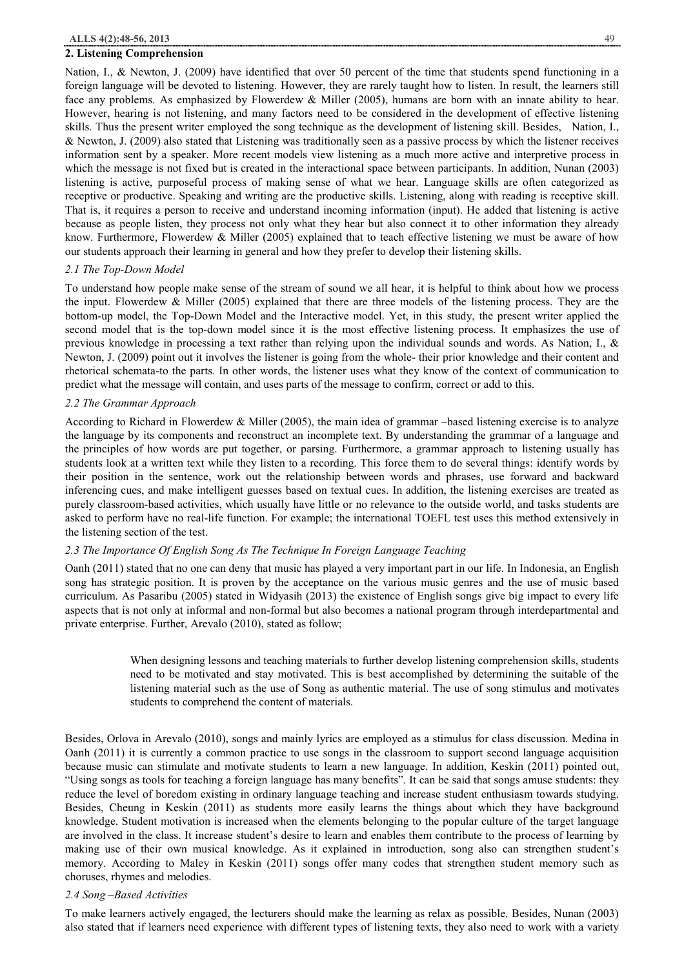#### **2. Listening Comprehension**

Nation, I., & Newton, J. (2009) have identified that over 50 percent of the time that students spend functioning in a foreign language will be devoted to listening. However, they are rarely taught how to listen. In result, the learners still face any problems. As emphasized by Flowerdew & Miller (2005), humans are born with an innate ability to hear. However, hearing is not listening, and many factors need to be considered in the development of effective listening skills. Thus the present writer employed the song technique as the development of listening skill. Besides, Nation, I., & Newton, J. (2009) also stated that Listening was traditionally seen as a passive process by which the listener receives information sent by a speaker. More recent models view listening as a much more active and interpretive process in which the message is not fixed but is created in the interactional space between participants. In addition, Nunan (2003) listening is active, purposeful process of making sense of what we hear. Language skills are often categorized as receptive or productive. Speaking and writing are the productive skills. Listening, along with reading is receptive skill. That is, it requires a person to receive and understand incoming information (input). He added that listening is active because as people listen, they process not only what they hear but also connect it to other information they already know. Furthermore, Flowerdew & Miller (2005) explained that to teach effective listening we must be aware of how our students approach their learning in general and how they prefer to develop their listening skills.

#### *2.1 The Top-Down Model*

To understand how people make sense of the stream of sound we all hear, it is helpful to think about how we process the input. Flowerdew & Miller (2005) explained that there are three models of the listening process. They are the bottom-up model, the Top-Down Model and the Interactive model. Yet, in this study, the present writer applied the second model that is the top-down model since it is the most effective listening process. It emphasizes the use of previous knowledge in processing a text rather than relying upon the individual sounds and words. As Nation, I., & Newton, J. (2009) point out it involves the listener is going from the whole- their prior knowledge and their content and rhetorical schemata-to the parts. In other words, the listener uses what they know of the context of communication to predict what the message will contain, and uses parts of the message to confirm, correct or add to this.

#### *2.2 The Grammar Approach*

According to Richard in Flowerdew & Miller (2005), the main idea of grammar –based listening exercise is to analyze the language by its components and reconstruct an incomplete text. By understanding the grammar of a language and the principles of how words are put together, or parsing. Furthermore, a grammar approach to listening usually has students look at a written text while they listen to a recording. This force them to do several things: identify words by their position in the sentence, work out the relationship between words and phrases, use forward and backward inferencing cues, and make intelligent guesses based on textual cues. In addition, the listening exercises are treated as purely classroom-based activities, which usually have little or no relevance to the outside world, and tasks students are asked to perform have no real-life function. For example; the international TOEFL test uses this method extensively in the listening section of the test.

#### *2.3 The Importance Of English Song As The Technique In Foreign Language Teaching*

Oanh (2011) stated that no one can deny that music has played a very important part in our life. In Indonesia, an English song has strategic position. It is proven by the acceptance on the various music genres and the use of music based curriculum. As Pasaribu (2005) stated in Widyasih (2013) the existence of English songs give big impact to every life aspects that is not only at informal and non-formal but also becomes a national program through interdepartmental and private enterprise. Further, Arevalo (2010), stated as follow;

> When designing lessons and teaching materials to further develop listening comprehension skills, students need to be motivated and stay motivated. This is best accomplished by determining the suitable of the listening material such as the use of Song as authentic material. The use of song stimulus and motivates students to comprehend the content of materials.

Besides, Orlova in Arevalo (2010), songs and mainly lyrics are employed as a stimulus for class discussion. Medina in Oanh (2011) it is currently a common practice to use songs in the classroom to support second language acquisition because music can stimulate and motivate students to learn a new language. In addition, Keskin (2011) pointed out, "Using songs as tools for teaching a foreign language has many benefits". It can be said that songs amuse students: they reduce the level of boredom existing in ordinary language teaching and increase student enthusiasm towards studying. Besides, Cheung in Keskin (2011) as students more easily learns the things about which they have background knowledge. Student motivation is increased when the elements belonging to the popular culture of the target language are involved in the class. It increase student's desire to learn and enables them contribute to the process of learning by making use of their own musical knowledge. As it explained in introduction, song also can strengthen student's memory. According to Maley in Keskin (2011) songs offer many codes that strengthen student memory such as choruses, rhymes and melodies.

#### *2.4 Song –Based Activities*

To make learners actively engaged, the lecturers should make the learning as relax as possible. Besides, Nunan (2003) also stated that if learners need experience with different types of listening texts, they also need to work with a variety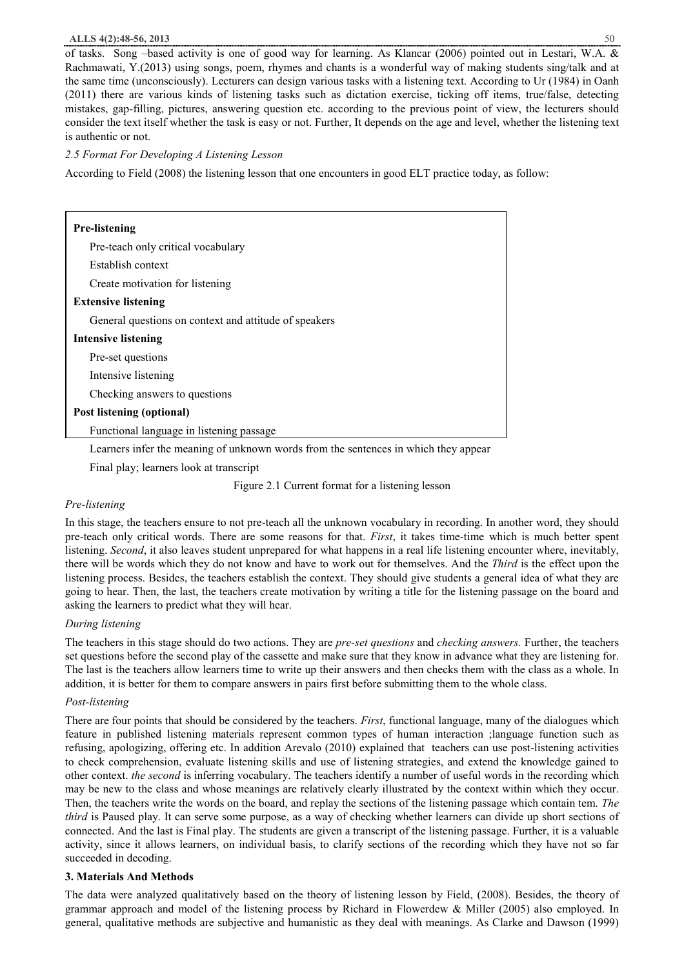#### **ALLS 4(2):48-56, 2013** 50

of tasks. Song –based activity is one of good way for learning. As Klancar (2006) pointed out in Lestari, W.A. & Rachmawati, Y.(2013) using songs, poem, rhymes and chants is a wonderful way of making students sing/talk and at the same time (unconsciously). Lecturers can design various tasks with a listening text. According to Ur (1984) in Oanh (2011) there are various kinds of listening tasks such as dictation exercise, ticking off items, true/false, detecting mistakes, gap-filling, pictures, answering question etc. according to the previous point of view, the lecturers should consider the text itself whether the task is easy or not. Further, It depends on the age and level, whether the listening text is authentic or not.

## *2.5 Format For Developing A Listening Lesson*

According to Field (2008) the listening lesson that one encounters in good ELT practice today, as follow:

| <b>Pre-listening</b>                                  |
|-------------------------------------------------------|
| Pre-teach only critical vocabulary                    |
| Establish context                                     |
| Create motivation for listening                       |
| <b>Extensive listening</b>                            |
| General questions on context and attitude of speakers |
| <b>Intensive listening</b>                            |
| Pre-set questions                                     |
| Intensive listening                                   |
| Checking answers to questions                         |
| Post listening (optional)                             |
| Functional language in listening passage              |

Learners infer the meaning of unknown words from the sentences in which they appear

Final play; learners look at transcript

Figure 2.1 Current format for a listening lesson

# *Pre-listening*

In this stage, the teachers ensure to not pre-teach all the unknown vocabulary in recording. In another word, they should pre-teach only critical words. There are some reasons for that. *First*, it takes time-time which is much better spent listening. *Second*, it also leaves student unprepared for what happens in a real life listening encounter where, inevitably, there will be words which they do not know and have to work out for themselves. And the *Third* is the effect upon the listening process. Besides, the teachers establish the context. They should give students a general idea of what they are going to hear. Then, the last, the teachers create motivation by writing a title for the listening passage on the board and asking the learners to predict what they will hear.

# *During listening*

The teachers in this stage should do two actions. They are *pre-set questions* and *checking answers.* Further, the teachers set questions before the second play of the cassette and make sure that they know in advance what they are listening for. The last is the teachers allow learners time to write up their answers and then checks them with the class as a whole. In addition, it is better for them to compare answers in pairs first before submitting them to the whole class.

# *Post-listening*

There are four points that should be considered by the teachers. *First*, functional language, many of the dialogues which feature in published listening materials represent common types of human interaction ;language function such as refusing, apologizing, offering etc. In addition Arevalo (2010) explained that teachers can use post-listening activities to check comprehension, evaluate listening skills and use of listening strategies, and extend the knowledge gained to other context. *the second* is inferring vocabulary. The teachers identify a number of useful words in the recording which may be new to the class and whose meanings are relatively clearly illustrated by the context within which they occur. Then, the teachers write the words on the board, and replay the sections of the listening passage which contain tem. *The third* is Paused play. It can serve some purpose, as a way of checking whether learners can divide up short sections of connected. And the last is Final play. The students are given a transcript of the listening passage. Further, it is a valuable activity, since it allows learners, on individual basis, to clarify sections of the recording which they have not so far succeeded in decoding.

# **3. Materials And Methods**

The data were analyzed qualitatively based on the theory of listening lesson by Field, (2008). Besides, the theory of grammar approach and model of the listening process by Richard in Flowerdew & Miller (2005) also employed. In general, qualitative methods are subjective and humanistic as they deal with meanings. As Clarke and Dawson (1999)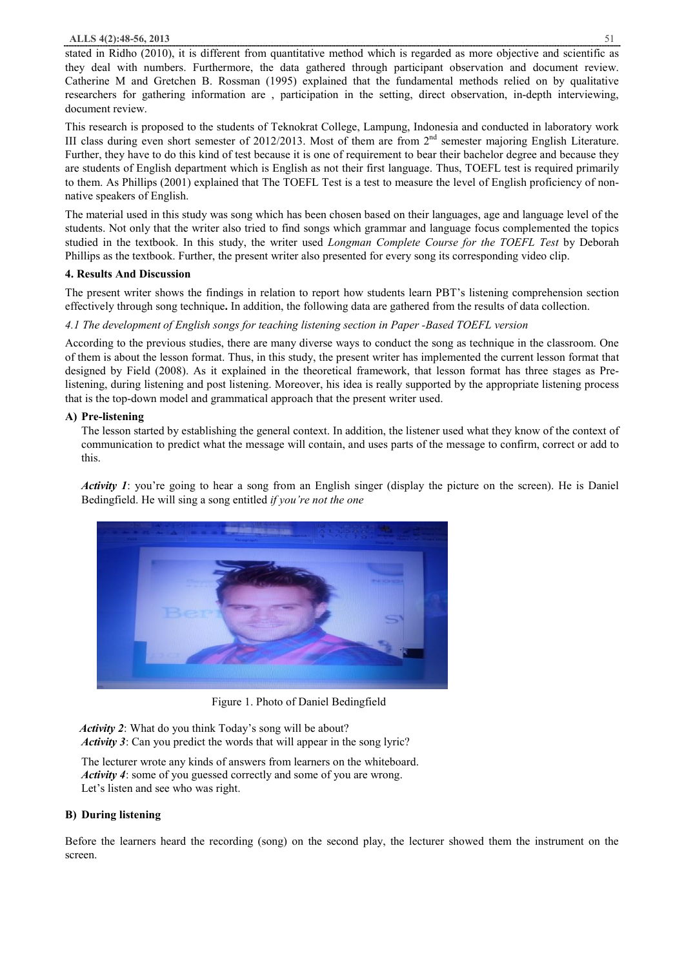stated in Ridho (2010), it is different from quantitative method which is regarded as more objective and scientific as they deal with numbers. Furthermore, the data gathered through participant observation and document review. Catherine M and Gretchen B. Rossman (1995) explained that the fundamental methods relied on by qualitative researchers for gathering information are , participation in the setting, direct observation, in-depth interviewing, document review.

This research is proposed to the students of Teknokrat College, Lampung, Indonesia and conducted in laboratory work III class during even short semester of 2012/2013. Most of them are from  $2<sup>nd</sup>$  semester majoring English Literature. Further, they have to do this kind of test because it is one of requirement to bear their bachelor degree and because they are students of English department which is English as not their first language. Thus, TOEFL test is required primarily to them. As Phillips (2001) explained that The TOEFL Test is a test to measure the level of English proficiency of nonnative speakers of English.

The material used in this study was song which has been chosen based on their languages, age and language level of the students. Not only that the writer also tried to find songs which grammar and language focus complemented the topics studied in the textbook. In this study, the writer used *Longman Complete Course for the TOEFL Test* by Deborah Phillips as the textbook. Further, the present writer also presented for every song its corresponding video clip.

# **4. Results And Discussion**

The present writer shows the findings in relation to report how students learn PBT's listening comprehension section effectively through song technique**.** In addition, the following data are gathered from the results of data collection.

# *4.1 The development of English songs for teaching listening section in Paper -Based TOEFL version*

According to the previous studies, there are many diverse ways to conduct the song as technique in the classroom. One of them is about the lesson format. Thus, in this study, the present writer has implemented the current lesson format that designed by Field (2008). As it explained in the theoretical framework, that lesson format has three stages as Prelistening, during listening and post listening. Moreover, his idea is really supported by the appropriate listening process that is the top-down model and grammatical approach that the present writer used.

# **A) Pre-listening**

The lesson started by establishing the general context. In addition, the listener used what they know of the context of communication to predict what the message will contain, and uses parts of the message to confirm, correct or add to this.

*Activity 1*: you're going to hear a song from an English singer (display the picture on the screen). He is Daniel Bedingfield. He will sing a song entitled *if you're not the one* 



Figure 1. Photo of Daniel Bedingfield

 *Activity 2*: What do you think Today's song will be about? *Activity 3*: Can you predict the words that will appear in the song lyric?

The lecturer wrote any kinds of answers from learners on the whiteboard. *Activity 4*: some of you guessed correctly and some of you are wrong. Let's listen and see who was right.

# **B) During listening**

Before the learners heard the recording (song) on the second play, the lecturer showed them the instrument on the screen.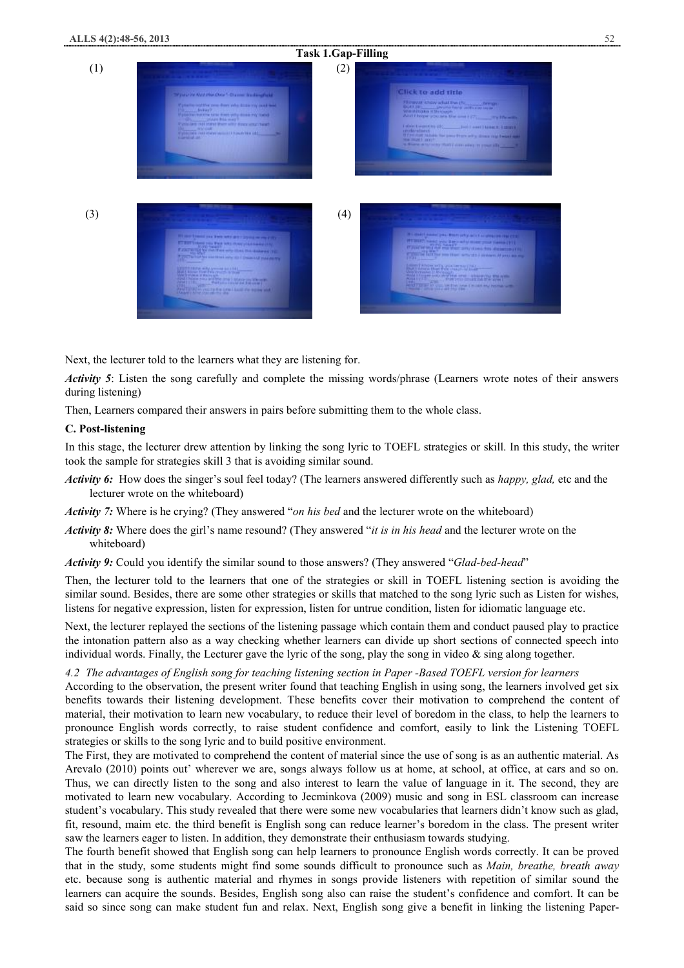

Next, the lecturer told to the learners what they are listening for.

*Activity 5*: Listen the song carefully and complete the missing words/phrase (Learners wrote notes of their answers during listening)

Then, Learners compared their answers in pairs before submitting them to the whole class.

#### **C. Post-listening**

In this stage, the lecturer drew attention by linking the song lyric to TOEFL strategies or skill. In this study, the writer took the sample for strategies skill 3 that is avoiding similar sound.

- *Activity 6:* How does the singer's soul feel today? (The learners answered differently such as *happy, glad,* etc and the lecturer wrote on the whiteboard)
- *Activity 7:* Where is he crying? (They answered "*on his bed* and the lecturer wrote on the whiteboard)
- *Activity 8:* Where does the girl's name resound? (They answered "*it is in his head* and the lecturer wrote on the whiteboard)

*Activity 9:* Could you identify the similar sound to those answers? (They answered "*Glad-bed-head*"

Then, the lecturer told to the learners that one of the strategies or skill in TOEFL listening section is avoiding the similar sound. Besides, there are some other strategies or skills that matched to the song lyric such as Listen for wishes, listens for negative expression, listen for expression, listen for untrue condition, listen for idiomatic language etc.

Next, the lecturer replayed the sections of the listening passage which contain them and conduct paused play to practice the intonation pattern also as a way checking whether learners can divide up short sections of connected speech into individual words. Finally, the Lecturer gave the lyric of the song, play the song in video  $\&$  sing along together.

*4.2 The advantages of English song for teaching listening section in Paper -Based TOEFL version for learners* 

According to the observation, the present writer found that teaching English in using song, the learners involved get six benefits towards their listening development. These benefits cover their motivation to comprehend the content of material, their motivation to learn new vocabulary, to reduce their level of boredom in the class, to help the learners to pronounce English words correctly, to raise student confidence and comfort, easily to link the Listening TOEFL strategies or skills to the song lyric and to build positive environment.

The First, they are motivated to comprehend the content of material since the use of song is as an authentic material. As Arevalo (2010) points out' wherever we are, songs always follow us at home, at school, at office, at cars and so on. Thus, we can directly listen to the song and also interest to learn the value of language in it. The second, they are motivated to learn new vocabulary. According to Jecminkova (2009) music and song in ESL classroom can increase student's vocabulary. This study revealed that there were some new vocabularies that learners didn't know such as glad, fit, resound, maim etc. the third benefit is English song can reduce learner's boredom in the class. The present writer saw the learners eager to listen. In addition, they demonstrate their enthusiasm towards studying.

The fourth benefit showed that English song can help learners to pronounce English words correctly. It can be proved that in the study, some students might find some sounds difficult to pronounce such as *Main, breathe, breath away* etc. because song is authentic material and rhymes in songs provide listeners with repetition of similar sound the learners can acquire the sounds. Besides, English song also can raise the student's confidence and comfort. It can be said so since song can make student fun and relax. Next, English song give a benefit in linking the listening Paper-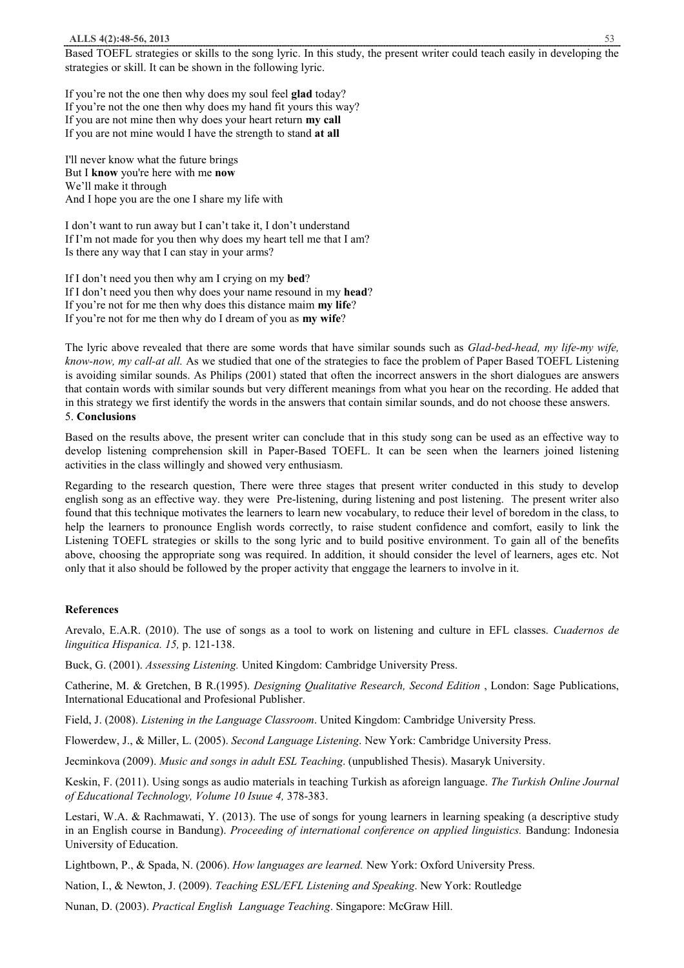#### **ALLS 4(2):48-56, 2013** 53

Based TOEFL strategies or skills to the song lyric. In this study, the present writer could teach easily in developing the strategies or skill. It can be shown in the following lyric.

If you're not the one then why does my soul feel **glad** today? If you're not the one then why does my hand fit yours this way? If you are not mine then why does your heart return **my call** If you are not mine would I have the strength to stand **at all**

I'll never know what the future brings But I **know** you're here with me **now** We'll make it through And I hope you are the one I share my life with

I don't want to run away but I can't take it, I don't understand If I'm not made for you then why does my heart tell me that I am? Is there any way that I can stay in your arms?

If I don't need you then why am I crying on my **bed**? If I don't need you then why does your name resound in my **head**? If you're not for me then why does this distance maim **my life**? If you're not for me then why do I dream of you as **my wife**?

The lyric above revealed that there are some words that have similar sounds such as *Glad-bed-head, my life-my wife, know-now, my call-at all.* As we studied that one of the strategies to face the problem of Paper Based TOEFL Listening is avoiding similar sounds. As Philips (2001) stated that often the incorrect answers in the short dialogues are answers that contain words with similar sounds but very different meanings from what you hear on the recording. He added that in this strategy we first identify the words in the answers that contain similar sounds, and do not choose these answers. 5. **Conclusions** 

Based on the results above, the present writer can conclude that in this study song can be used as an effective way to develop listening comprehension skill in Paper-Based TOEFL. It can be seen when the learners joined listening activities in the class willingly and showed very enthusiasm.

Regarding to the research question, There were three stages that present writer conducted in this study to develop english song as an effective way. they were Pre-listening, during listening and post listening. The present writer also found that this technique motivates the learners to learn new vocabulary, to reduce their level of boredom in the class, to help the learners to pronounce English words correctly, to raise student confidence and comfort, easily to link the Listening TOEFL strategies or skills to the song lyric and to build positive environment. To gain all of the benefits above, choosing the appropriate song was required. In addition, it should consider the level of learners, ages etc. Not only that it also should be followed by the proper activity that enggage the learners to involve in it.

## **References**

Arevalo, E.A.R. (2010). The use of songs as a tool to work on listening and culture in EFL classes. *Cuadernos de linguitica Hispanica. 15,* p. 121-138.

Buck, G. (2001). *Assessing Listening.* United Kingdom: Cambridge University Press.

Catherine, M. & Gretchen, B R.(1995). *Designing Qualitative Research, Second Edition* , London: Sage Publications, International Educational and Profesional Publisher.

Field, J. (2008). *Listening in the Language Classroom*. United Kingdom: Cambridge University Press.

Flowerdew, J., & Miller, L. (2005). *Second Language Listening*. New York: Cambridge University Press.

Jecminkova (2009). *Music and songs in adult ESL Teaching*. (unpublished Thesis). Masaryk University.

Keskin, F. (2011). Using songs as audio materials in teaching Turkish as aforeign language. *The Turkish Online Journal of Educational Technology, Volume 10 Isuue 4,* 378-383.

Lestari, W.A. & Rachmawati, Y. (2013). The use of songs for young learners in learning speaking (a descriptive study in an English course in Bandung). *Proceeding of international conference on applied linguistics.* Bandung: Indonesia University of Education.

Lightbown, P., & Spada, N. (2006). *How languages are learned.* New York: Oxford University Press.

Nation, I., & Newton, J. (2009). *Teaching ESL/EFL Listening and Speaking*. New York: Routledge

Nunan, D. (2003). *Practical English Language Teaching*. Singapore: McGraw Hill.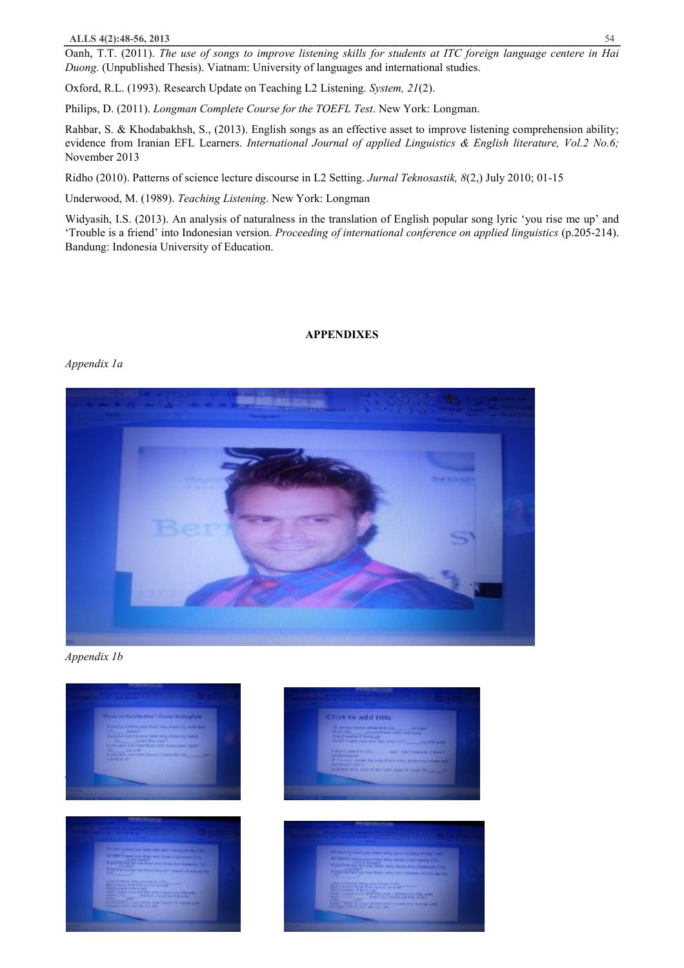Oanh, T.T. (2011). The use of songs to improve listening skills for students at ITC foreign language centere in Hai *Duong.* (Unpublished Thesis). Viatnam: University of languages and international studies.

Oxford, R.L. (1993). Research Update on Teaching L2 Listening. *System, 21*(2).

Philips, D. (2011). *Longman Complete Course for the TOEFL Test*. New York: Longman.

Rahbar, S. & Khodabakhsh, S., (2013). English songs as an effective asset to improve listening comprehension ability; evidence from Iranian EFL Learners. *International Journal of applied Linguistics & English literature, Vol.2 No.6;*  November 2013

Ridho (2010). Patterns of science lecture discourse in L2 Setting. *Jurnal Teknosastik, 8*(2,) July 2010; 01-15

Underwood, M. (1989). *Teaching Listening*. New York: Longman

Widyasih, I.S. (2013). An analysis of naturalness in the translation of English popular song lyric 'you rise me up' and 'Trouble is a friend' into Indonesian version. *Proceeding of international conference on applied linguistics* (p.205-214). Bandung: Indonesia University of Education.

#### **APPENDIXES**

#### *Appendix 1a*



*Appendix 1b* 





The results of the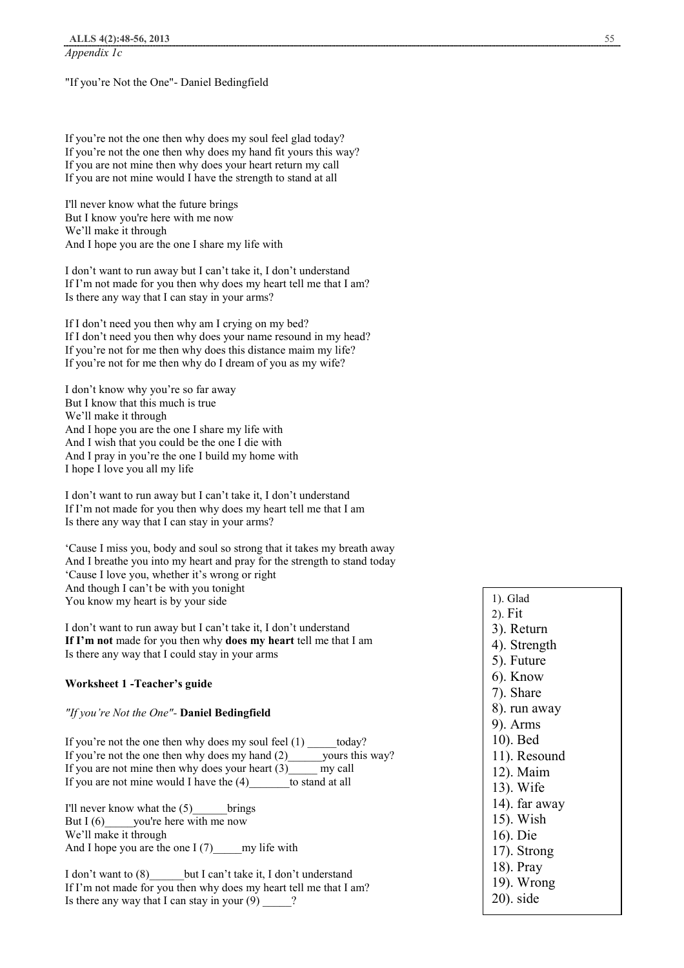*Appendix 1c* 

"If you're Not the One"- Daniel Bedingfield

If you're not the one then why does my soul feel glad today? If you're not the one then why does my hand fit yours this way? If you are not mine then why does your heart return my call If you are not mine would I have the strength to stand at all

I'll never know what the future brings But I know you're here with me now We'll make it through And I hope you are the one I share my life with

I don't want to run away but I can't take it, I don't understand If I'm not made for you then why does my heart tell me that I am? Is there any way that I can stay in your arms?

If I don't need you then why am I crying on my bed? If I don't need you then why does your name resound in my head? If you're not for me then why does this distance maim my life? If you're not for me then why do I dream of you as my wife?

I don't know why you're so far away But I know that this much is true We'll make it through And I hope you are the one I share my life with And I wish that you could be the one I die with And I pray in you're the one I build my home with I hope I love you all my life

I don't want to run away but I can't take it, I don't understand If I'm not made for you then why does my heart tell me that I am Is there any way that I can stay in your arms?

'Cause I miss you, body and soul so strong that it takes my breath away And I breathe you into my heart and pray for the strength to stand today 'Cause I love you, whether it's wrong or right And though I can't be with you tonight You know my heart is by your side

I don't want to run away but I can't take it, I don't understand **If I'm not** made for you then why **does my heart** tell me that I am Is there any way that I could stay in your arms

### **Worksheet 1 -Teacher's guide**

#### *"If you're Not the One"-* **Daniel Bedingfield**

If you're not the one then why does my soul feel (1) \_\_\_\_\_today? If you're not the one then why does my hand  $(2)$  yours this way? If you are not mine then why does your heart (3)\_\_\_\_\_ my call If you are not mine would I have the (4) to stand at all

I'll never know what the (5) brings But I (6) you're here with me now We'll make it through And I hope you are the one I $(7)$  my life with

I don't want to (8) but I can't take it, I don't understand If I'm not made for you then why does my heart tell me that I am? Is there any way that I can stay in your  $(9)$  ?

- 1). Glad
- 2). Fit
- 3). Return
- 4). Strength
- 5). Future
- 6). Know
- 7). Share
- 8). run away
- 9). Arms
- 10). Bed
- 11). Resound
- 12). Maim
- 13). Wife
- 14). far away
- 15). Wish
- 16). Die
- 
- 17). Strong
- 18). Pray
- 19). Wrong
- 20). side